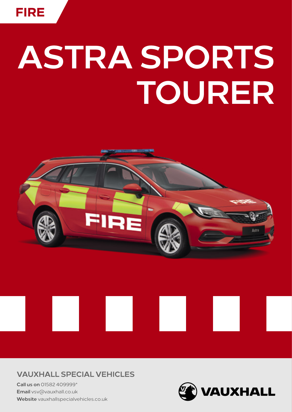# **ASTRA SPORTS TOURER**



## **VAUXHALL SPECIAL VEHICLES**

**Call us on** 01582 409999\* **Email** vsv@vauxhall.co.uk **Website** [vauxhallspecialvehicles.co.uk](http://www.vauxhallspecialvehicles.co.uk)